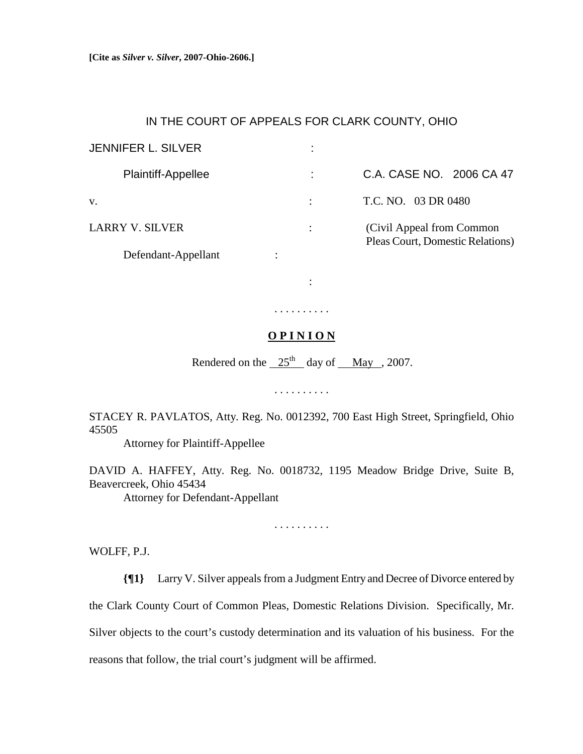## IN THE COURT OF APPEALS FOR CLARK COUNTY, OHIO

| <b>JENNIFER L. SILVER</b> |                                                               |
|---------------------------|---------------------------------------------------------------|
| <b>Plaintiff-Appellee</b> | C.A. CASE NO. 2006 CA 47                                      |
| V.                        | T.C. NO. 03 DR 0480                                           |
| <b>LARRY V. SILVER</b>    | (Civil Appeal from Common<br>Pleas Court, Domestic Relations) |
| Defendant-Appellant       |                                                               |

## **O P I N I O N**

. . . . . . . . . .

:

Rendered on the  $25<sup>th</sup>$  day of May , 2007.

. . . . . . . . . .

STACEY R. PAVLATOS, Atty. Reg. No. 0012392, 700 East High Street, Springfield, Ohio 45505

Attorney for Plaintiff-Appellee

DAVID A. HAFFEY, Atty. Reg. No. 0018732, 1195 Meadow Bridge Drive, Suite B, Beavercreek, Ohio 45434

Attorney for Defendant-Appellant

. . . . . . . . . .

WOLFF, P.J.

**{¶1}** Larry V. Silver appeals from a Judgment Entry and Decree of Divorce entered by the Clark County Court of Common Pleas, Domestic Relations Division. Specifically, Mr. Silver objects to the court's custody determination and its valuation of his business. For the reasons that follow, the trial court's judgment will be affirmed.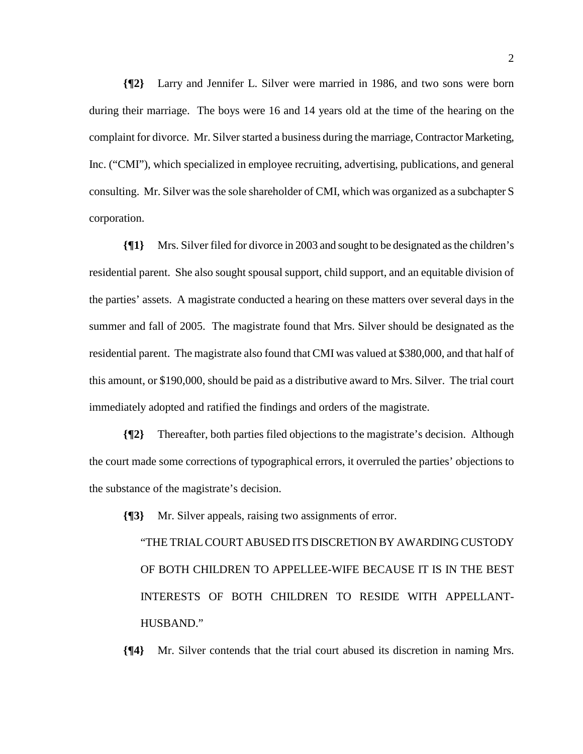**{¶2}** Larry and Jennifer L. Silver were married in 1986, and two sons were born during their marriage. The boys were 16 and 14 years old at the time of the hearing on the complaint for divorce. Mr. Silver started a business during the marriage, Contractor Marketing, Inc. ("CMI"), which specialized in employee recruiting, advertising, publications, and general consulting. Mr. Silver was the sole shareholder of CMI, which was organized as a subchapter S corporation.

**{¶1}** Mrs. Silver filed for divorce in 2003 and sought to be designated as the children's residential parent. She also sought spousal support, child support, and an equitable division of the parties' assets. A magistrate conducted a hearing on these matters over several days in the summer and fall of 2005. The magistrate found that Mrs. Silver should be designated as the residential parent. The magistrate also found that CMI was valued at \$380,000, and that half of this amount, or \$190,000, should be paid as a distributive award to Mrs. Silver. The trial court immediately adopted and ratified the findings and orders of the magistrate.

**{¶2}** Thereafter, both parties filed objections to the magistrate's decision. Although the court made some corrections of typographical errors, it overruled the parties' objections to the substance of the magistrate's decision.

**{¶3}** Mr. Silver appeals, raising two assignments of error.

"THE TRIAL COURT ABUSED ITS DISCRETION BY AWARDING CUSTODY OF BOTH CHILDREN TO APPELLEE-WIFE BECAUSE IT IS IN THE BEST INTERESTS OF BOTH CHILDREN TO RESIDE WITH APPELLANT-HUSBAND."

**{¶4}** Mr. Silver contends that the trial court abused its discretion in naming Mrs.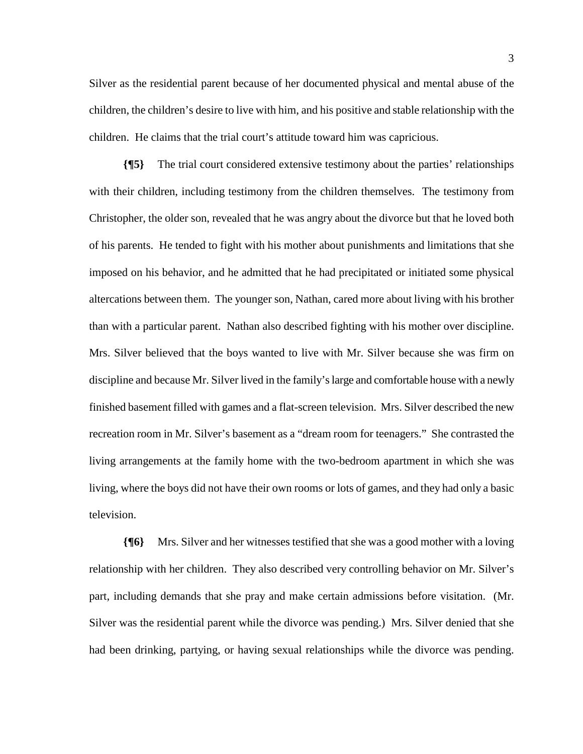Silver as the residential parent because of her documented physical and mental abuse of the children, the children's desire to live with him, and his positive and stable relationship with the children. He claims that the trial court's attitude toward him was capricious.

**{¶5}** The trial court considered extensive testimony about the parties' relationships with their children, including testimony from the children themselves. The testimony from Christopher, the older son, revealed that he was angry about the divorce but that he loved both of his parents. He tended to fight with his mother about punishments and limitations that she imposed on his behavior, and he admitted that he had precipitated or initiated some physical altercations between them. The younger son, Nathan, cared more about living with his brother than with a particular parent. Nathan also described fighting with his mother over discipline. Mrs. Silver believed that the boys wanted to live with Mr. Silver because she was firm on discipline and because Mr. Silver lived in the family's large and comfortable house with a newly finished basement filled with games and a flat-screen television. Mrs. Silver described the new recreation room in Mr. Silver's basement as a "dream room for teenagers." She contrasted the living arrangements at the family home with the two-bedroom apartment in which she was living, where the boys did not have their own rooms or lots of games, and they had only a basic television.

**{¶6}** Mrs. Silver and her witnesses testified that she was a good mother with a loving relationship with her children. They also described very controlling behavior on Mr. Silver's part, including demands that she pray and make certain admissions before visitation. (Mr. Silver was the residential parent while the divorce was pending.) Mrs. Silver denied that she had been drinking, partying, or having sexual relationships while the divorce was pending.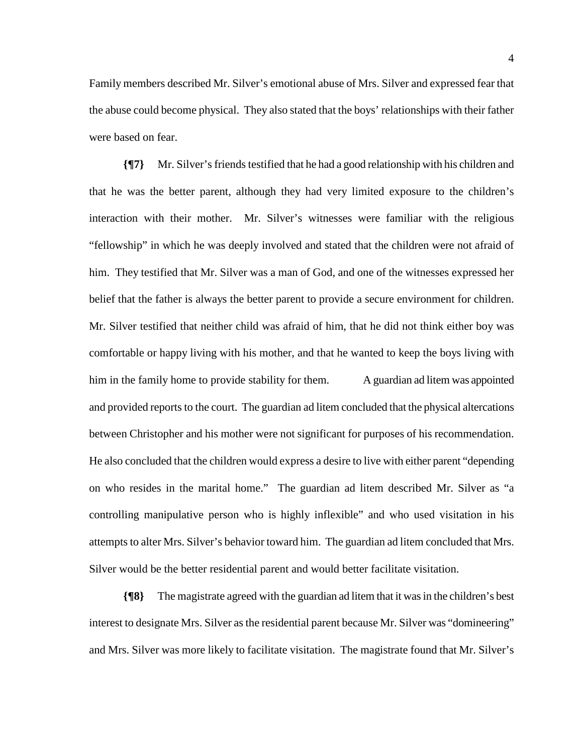Family members described Mr. Silver's emotional abuse of Mrs. Silver and expressed fear that the abuse could become physical. They also stated that the boys' relationships with their father were based on fear.

**{¶7}** Mr. Silver's friends testified that he had a good relationship with his children and that he was the better parent, although they had very limited exposure to the children's interaction with their mother. Mr. Silver's witnesses were familiar with the religious "fellowship" in which he was deeply involved and stated that the children were not afraid of him. They testified that Mr. Silver was a man of God, and one of the witnesses expressed her belief that the father is always the better parent to provide a secure environment for children. Mr. Silver testified that neither child was afraid of him, that he did not think either boy was comfortable or happy living with his mother, and that he wanted to keep the boys living with him in the family home to provide stability for them. A guardian ad litem was appointed and provided reports to the court. The guardian ad litem concluded that the physical altercations between Christopher and his mother were not significant for purposes of his recommendation. He also concluded that the children would express a desire to live with either parent "depending on who resides in the marital home." The guardian ad litem described Mr. Silver as "a controlling manipulative person who is highly inflexible" and who used visitation in his attempts to alter Mrs. Silver's behavior toward him. The guardian ad litem concluded that Mrs. Silver would be the better residential parent and would better facilitate visitation.

**{¶8}** The magistrate agreed with the guardian ad litem that it was in the children's best interest to designate Mrs. Silver as the residential parent because Mr. Silver was "domineering" and Mrs. Silver was more likely to facilitate visitation. The magistrate found that Mr. Silver's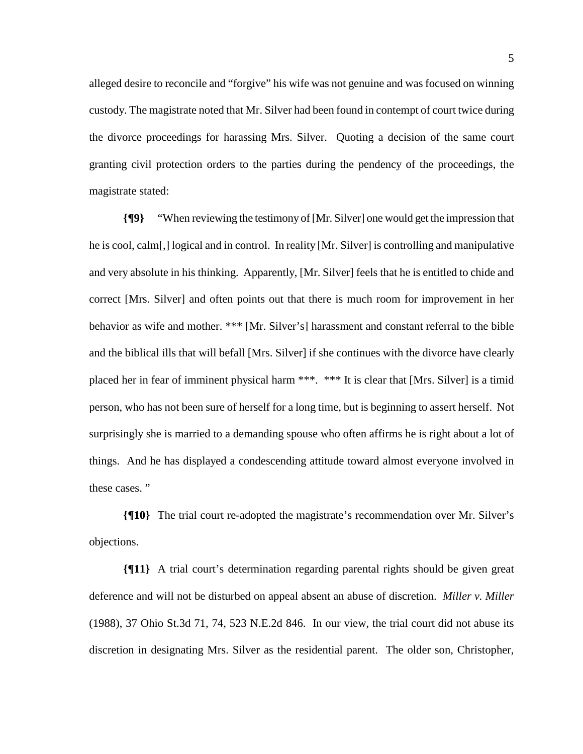alleged desire to reconcile and "forgive" his wife was not genuine and was focused on winning custody. The magistrate noted that Mr. Silver had been found in contempt of court twice during the divorce proceedings for harassing Mrs. Silver. Quoting a decision of the same court granting civil protection orders to the parties during the pendency of the proceedings, the magistrate stated:

**{¶9}** "When reviewing the testimony of [Mr. Silver] one would get the impression that he is cool, calm[,] logical and in control. In reality [Mr. Silver] is controlling and manipulative and very absolute in his thinking. Apparently, [Mr. Silver] feels that he is entitled to chide and correct [Mrs. Silver] and often points out that there is much room for improvement in her behavior as wife and mother. \*\*\* [Mr. Silver's] harassment and constant referral to the bible and the biblical ills that will befall [Mrs. Silver] if she continues with the divorce have clearly placed her in fear of imminent physical harm \*\*\*. \*\*\* It is clear that [Mrs. Silver] is a timid person, who has not been sure of herself for a long time, but is beginning to assert herself. Not surprisingly she is married to a demanding spouse who often affirms he is right about a lot of things. And he has displayed a condescending attitude toward almost everyone involved in these cases. "

**{¶10}** The trial court re-adopted the magistrate's recommendation over Mr. Silver's objections.

**{¶11}** A trial court's determination regarding parental rights should be given great deference and will not be disturbed on appeal absent an abuse of discretion. *Miller v. Miller*  (1988), 37 Ohio St.3d 71, 74, 523 N.E.2d 846. In our view, the trial court did not abuse its discretion in designating Mrs. Silver as the residential parent. The older son, Christopher,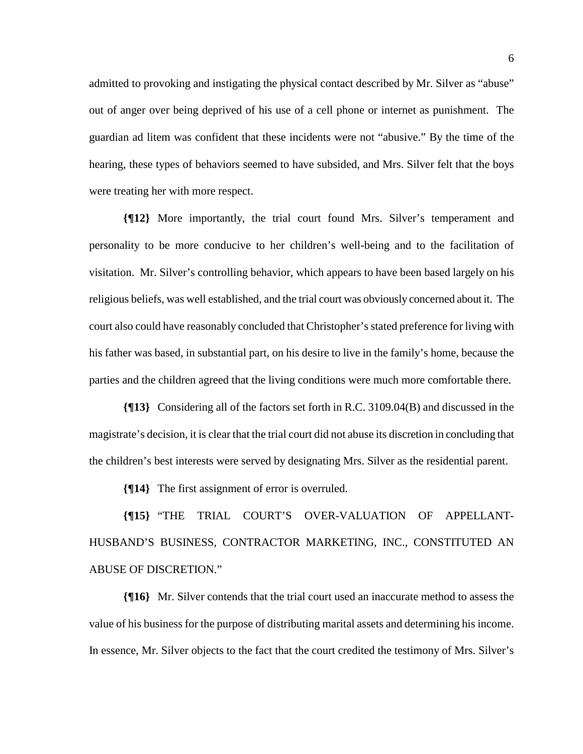admitted to provoking and instigating the physical contact described by Mr. Silver as "abuse" out of anger over being deprived of his use of a cell phone or internet as punishment. The guardian ad litem was confident that these incidents were not "abusive." By the time of the hearing, these types of behaviors seemed to have subsided, and Mrs. Silver felt that the boys were treating her with more respect.

**{¶12}** More importantly, the trial court found Mrs. Silver's temperament and personality to be more conducive to her children's well-being and to the facilitation of visitation. Mr. Silver's controlling behavior, which appears to have been based largely on his religious beliefs, was well established, and the trial court was obviously concerned about it. The court also could have reasonably concluded that Christopher's stated preference for living with his father was based, in substantial part, on his desire to live in the family's home, because the parties and the children agreed that the living conditions were much more comfortable there.

**{¶13}** Considering all of the factors set forth in R.C. 3109.04(B) and discussed in the magistrate's decision, it is clear that the trial court did not abuse its discretion in concluding that the children's best interests were served by designating Mrs. Silver as the residential parent.

**{¶14}** The first assignment of error is overruled.

**{¶15}** "THE TRIAL COURT'S OVER-VALUATION OF APPELLANT-HUSBAND'S BUSINESS, CONTRACTOR MARKETING, INC., CONSTITUTED AN ABUSE OF DISCRETION."

**{¶16}** Mr. Silver contends that the trial court used an inaccurate method to assess the value of his business for the purpose of distributing marital assets and determining his income. In essence, Mr. Silver objects to the fact that the court credited the testimony of Mrs. Silver's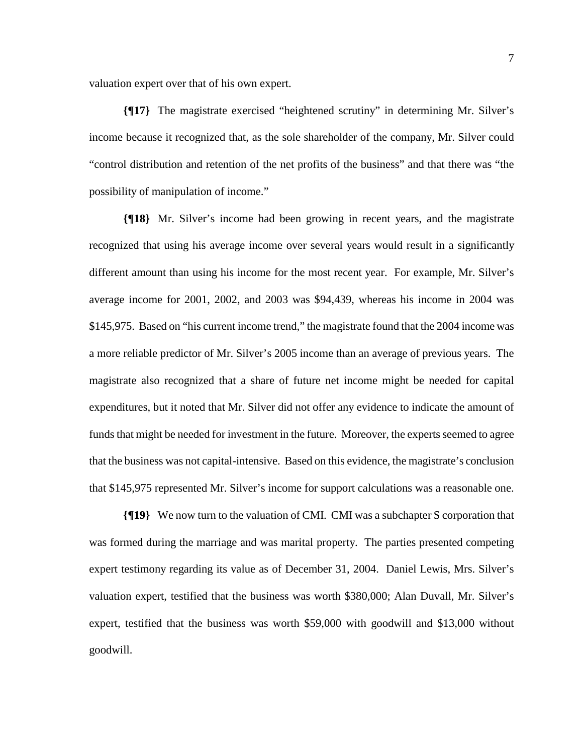valuation expert over that of his own expert.

**{¶17}** The magistrate exercised "heightened scrutiny" in determining Mr. Silver's income because it recognized that, as the sole shareholder of the company, Mr. Silver could "control distribution and retention of the net profits of the business" and that there was "the possibility of manipulation of income."

**{¶18}** Mr. Silver's income had been growing in recent years, and the magistrate recognized that using his average income over several years would result in a significantly different amount than using his income for the most recent year. For example, Mr. Silver's average income for 2001, 2002, and 2003 was \$94,439, whereas his income in 2004 was \$145,975. Based on "his current income trend," the magistrate found that the 2004 income was a more reliable predictor of Mr. Silver's 2005 income than an average of previous years. The magistrate also recognized that a share of future net income might be needed for capital expenditures, but it noted that Mr. Silver did not offer any evidence to indicate the amount of funds that might be needed for investment in the future. Moreover, the experts seemed to agree that the business was not capital-intensive. Based on this evidence, the magistrate's conclusion that \$145,975 represented Mr. Silver's income for support calculations was a reasonable one.

**{¶19}** We now turn to the valuation of CMI. CMI was a subchapter S corporation that was formed during the marriage and was marital property. The parties presented competing expert testimony regarding its value as of December 31, 2004. Daniel Lewis, Mrs. Silver's valuation expert, testified that the business was worth \$380,000; Alan Duvall, Mr. Silver's expert, testified that the business was worth \$59,000 with goodwill and \$13,000 without goodwill.